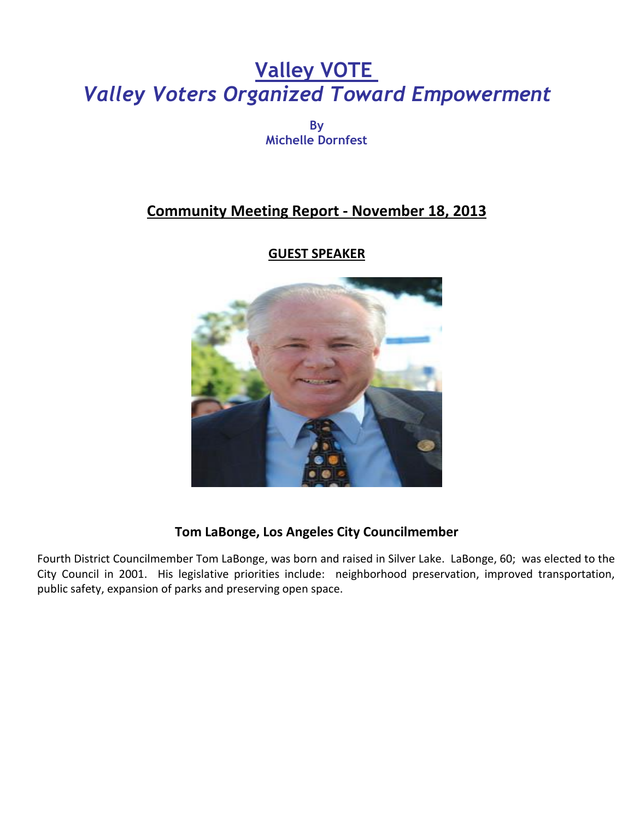# **Valley VOTE** *Valley Voters Organized Toward Empowerment*

**By Michelle Dornfest**

## **Community Meeting Report - November 18, 2013**

#### **GUEST SPEAKER**



#### **Tom LaBonge, Los Angeles City Councilmember**

Fourth District Councilmember Tom LaBonge, was born and raised in Silver Lake. LaBonge, 60; was elected to the City Council in 2001. His legislative priorities include: neighborhood preservation, improved transportation, public safety, expansion of parks and preserving open space.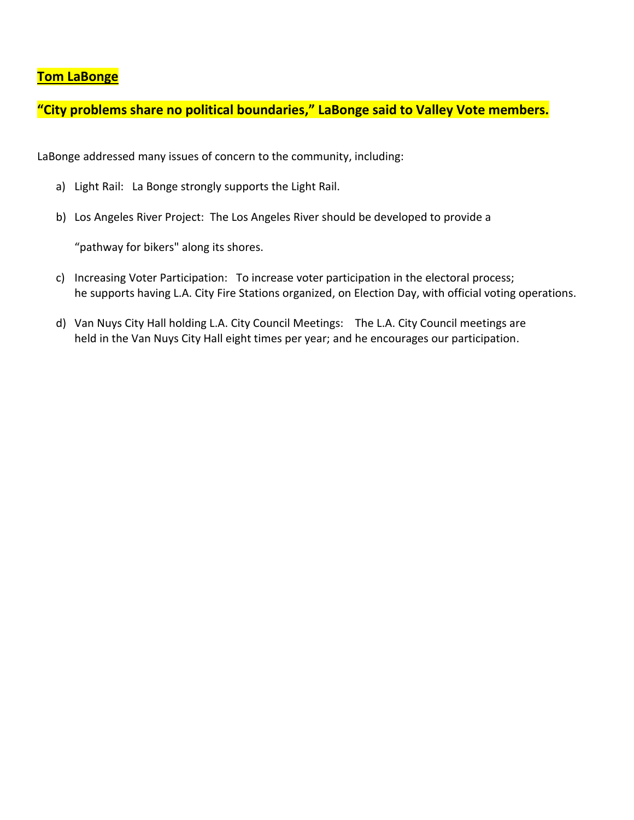#### **Tom LaBonge**

**"City problems share no political boundaries," LaBonge said to Valley Vote members.** 

LaBonge addressed many issues of concern to the community, including:

- a) Light Rail: La Bonge strongly supports the Light Rail.
- b) Los Angeles River Project: The Los Angeles River should be developed to provide a

"pathway for bikers" along its shores.

- c) Increasing Voter Participation: To increase voter participation in the electoral process; he supports having L.A. City Fire Stations organized, on Election Day, with official voting operations.
- d) Van Nuys City Hall holding L.A. City Council Meetings: The L.A. City Council meetings are held in the Van Nuys City Hall eight times per year; and he encourages our participation.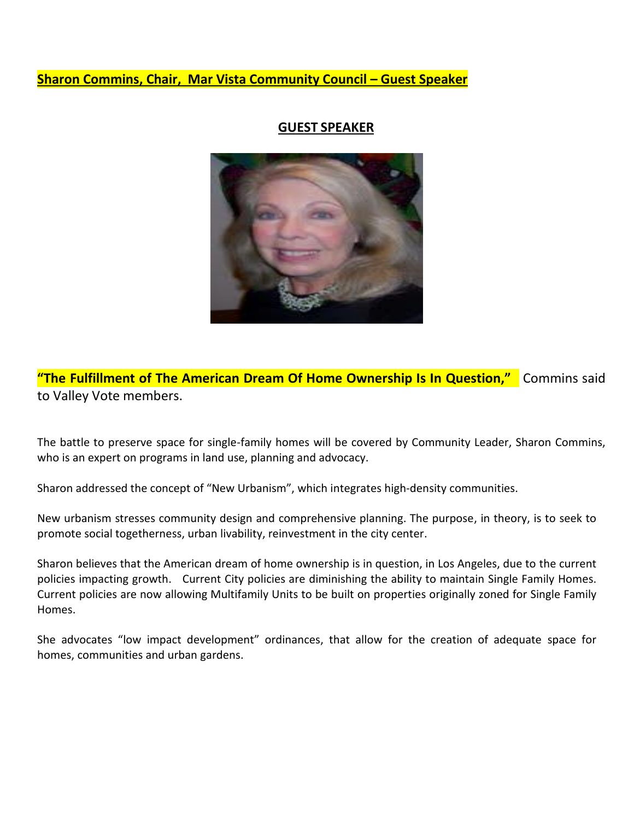#### **Sharon Commins, Chair, Mar Vista Community Council – Guest Speaker**

#### **GUEST SPEAKER**



**"The Fulfillment of The American Dream Of Home Ownership Is In Question,"** Commins said to Valley Vote members.

The battle to preserve space for single-family homes will be covered by Community Leader, Sharon Commins, who is an expert on programs in land use, planning and advocacy.

Sharon addressed the concept of "New Urbanism", which integrates high-density communities.

New urbanism stresses community design and comprehensive planning. The purpose, in theory, is to seek to promote social togetherness, urban livability, reinvestment in the city center.

Sharon believes that the American dream of home ownership is in question, in Los Angeles, due to the current policies impacting growth. Current City policies are diminishing the ability to maintain Single Family Homes. Current policies are now allowing Multifamily Units to be built on properties originally zoned for Single Family Homes.

She advocates "low impact development" ordinances, that allow for the creation of adequate space for homes, communities and urban gardens.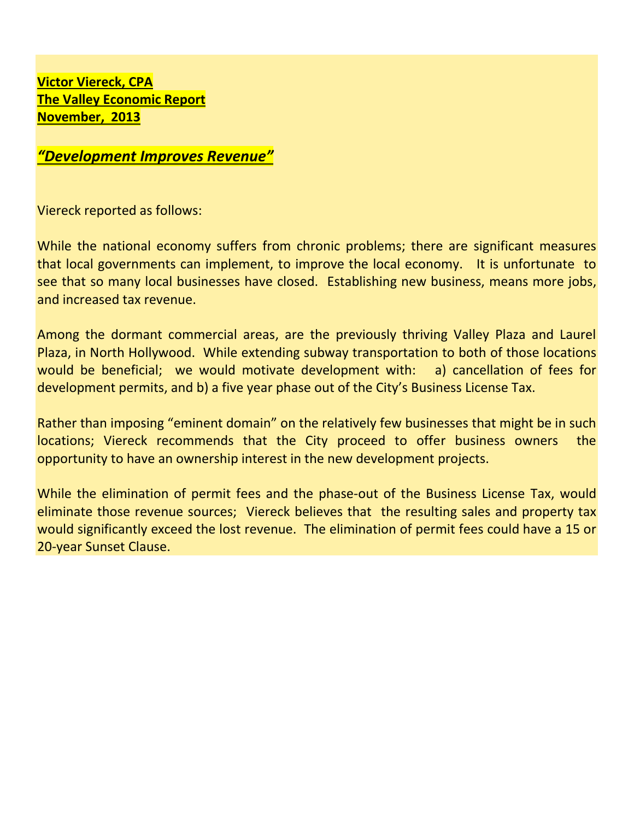**Victor Viereck, CPA The Valley Economic Report November, 2013** 

### *"Development Improves Revenue"*

Viereck reported as follows:

While the national economy suffers from chronic problems; there are significant measures that local governments can implement, to improve the local economy. It is unfortunate to see that so many local businesses have closed. Establishing new business, means more jobs, and increased tax revenue.

Among the dormant commercial areas, are the previously thriving Valley Plaza and Laurel Plaza, in North Hollywood. While extending subway transportation to both of those locations would be beneficial; we would motivate development with: a) cancellation of fees for development permits, and b) a five year phase out of the City's Business License Tax.

Rather than imposing "eminent domain" on the relatively few businesses that might be in such locations; Viereck recommends that the City proceed to offer business owners the opportunity to have an ownership interest in the new development projects.

While the elimination of permit fees and the phase-out of the Business License Tax, would eliminate those revenue sources; Viereck believes that the resulting sales and property tax would significantly exceed the lost revenue. The elimination of permit fees could have a 15 or 20-year Sunset Clause.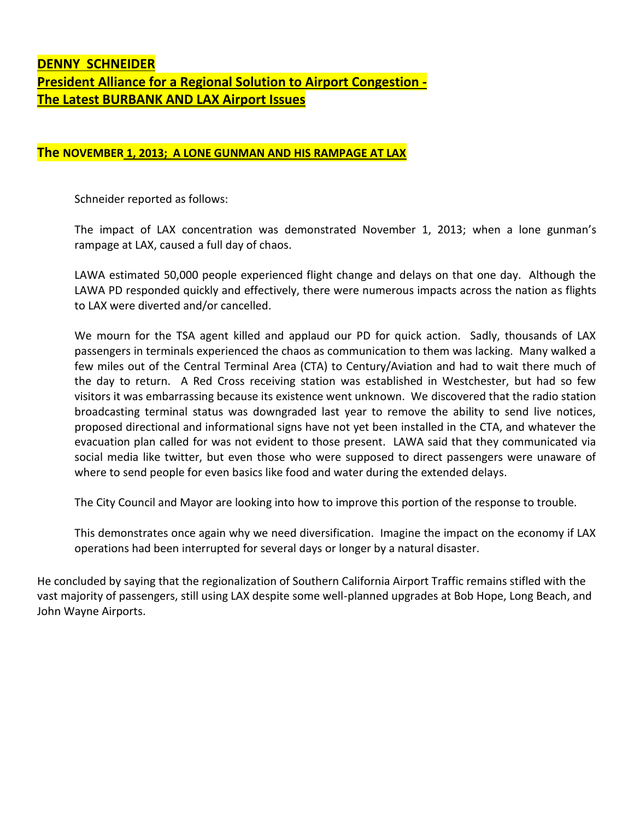#### **DENNY SCHNEIDER President Alliance for a Regional Solution to Airport Congestion - The Latest BURBANK AND LAX Airport Issues**

#### **The NOVEMBER 1, 2013; A LONE GUNMAN AND HIS RAMPAGE AT LAX**

Schneider reported as follows:

The impact of LAX concentration was demonstrated November 1, 2013; when a lone gunman's rampage at LAX, caused a full day of chaos.

LAWA estimated 50,000 people experienced flight change and delays on that one day. Although the LAWA PD responded quickly and effectively, there were numerous impacts across the nation as flights to LAX were diverted and/or cancelled.

We mourn for the TSA agent killed and applaud our PD for quick action. Sadly, thousands of LAX passengers in terminals experienced the chaos as communication to them was lacking. Many walked a few miles out of the Central Terminal Area (CTA) to Century/Aviation and had to wait there much of the day to return. A Red Cross receiving station was established in Westchester, but had so few visitors it was embarrassing because its existence went unknown. We discovered that the radio station broadcasting terminal status was downgraded last year to remove the ability to send live notices, proposed directional and informational signs have not yet been installed in the CTA, and whatever the evacuation plan called for was not evident to those present. LAWA said that they communicated via social media like twitter, but even those who were supposed to direct passengers were unaware of where to send people for even basics like food and water during the extended delays.

The City Council and Mayor are looking into how to improve this portion of the response to trouble.

This demonstrates once again why we need diversification. Imagine the impact on the economy if LAX operations had been interrupted for several days or longer by a natural disaster.

He concluded by saying that the regionalization of Southern California Airport Traffic remains stifled with the vast majority of passengers, still using LAX despite some well-planned upgrades at Bob Hope, Long Beach, and John Wayne Airports.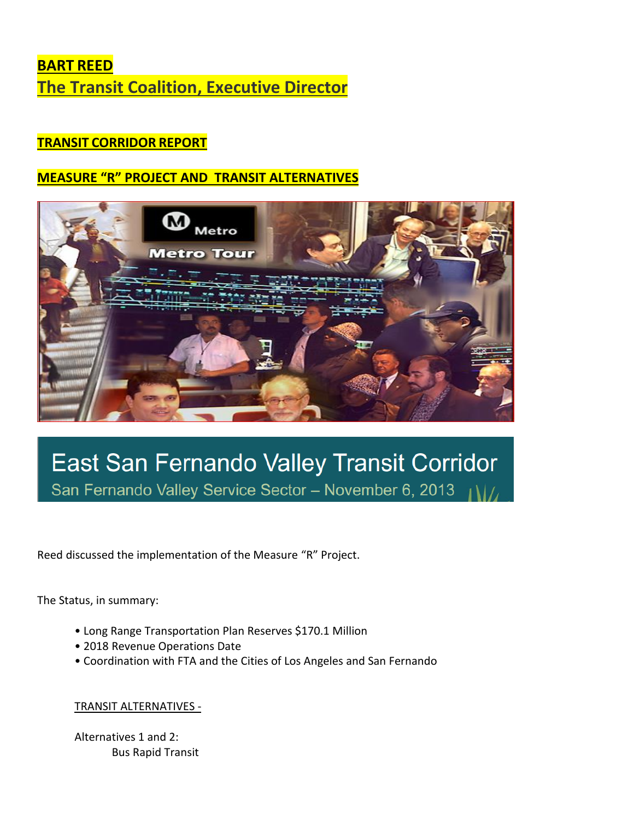# **BART REED The Transit Coalition, Executive Director**

### **TRANSIT CORRIDOR REPORT**

### **MEASURE "R" PROJECT AND TRANSIT ALTERNATIVES**



# East San Fernando Valley Transit Corridor San Fernando Valley Service Sector - November 6, 2013

Reed discussed the implementation of the Measure "R" Project.

The Status, in summary:

- Long Range Transportation Plan Reserves \$170.1 Million
- 2018 Revenue Operations Date
- Coordination with FTA and the Cities of Los Angeles and San Fernando

#### TRANSIT ALTERNATIVES -

Alternatives 1 and 2: Bus Rapid Transit